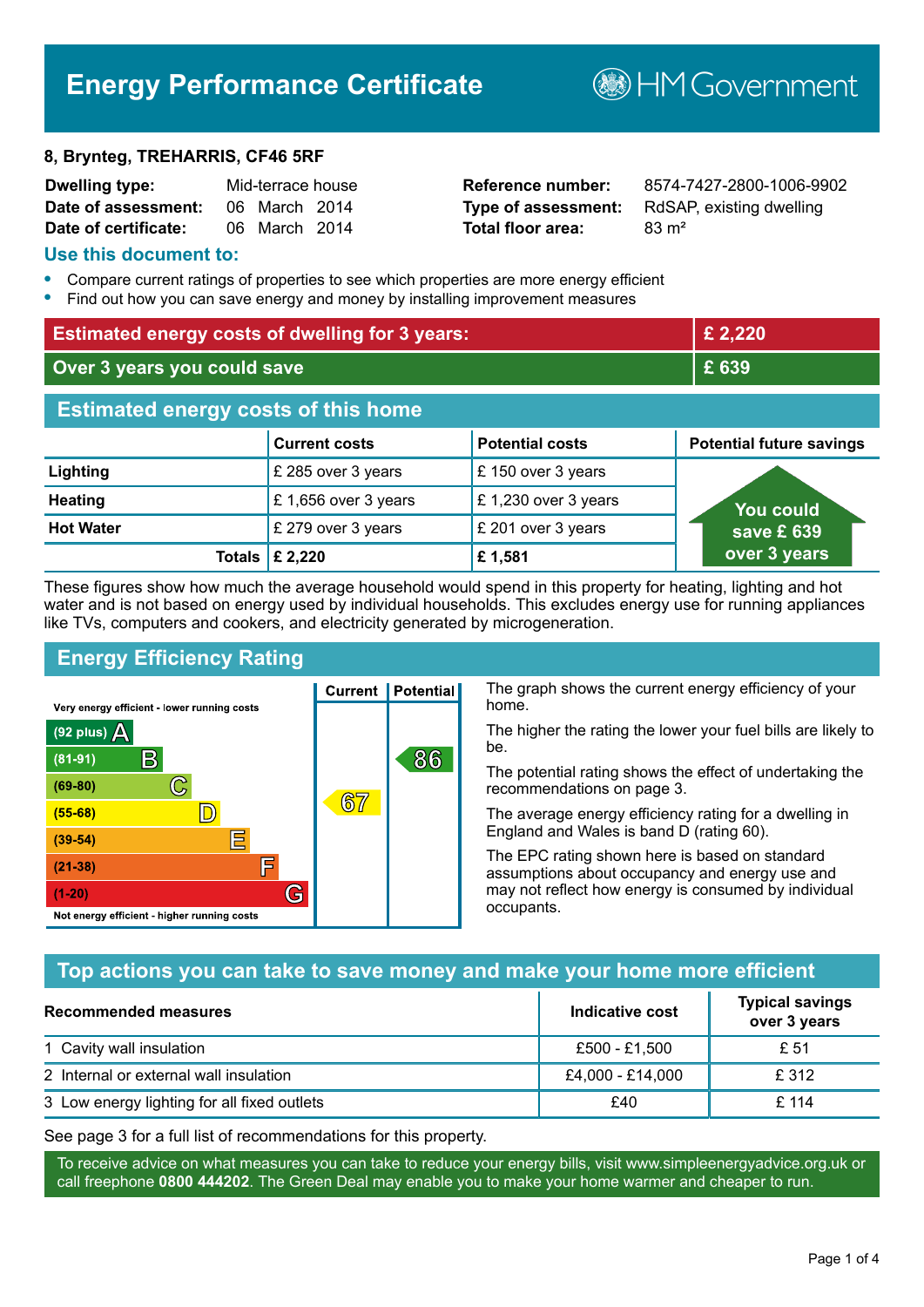# **Energy Performance Certificate**

#### **8, Brynteg, TREHARRIS, CF46 5RF**

| Dwelling type:       | Mid-terrace house |  |
|----------------------|-------------------|--|
| Date of assessment:  | 06 March 2014     |  |
| Date of certificate: | 06 March 2014     |  |

# **Total floor area:** 83 m<sup>2</sup>

**Reference number:** 8574-7427-2800-1006-9902 **Type of assessment:** RdSAP, existing dwelling

**B**HM Government

#### **Use this document to:**

- **•** Compare current ratings of properties to see which properties are more energy efficient
- **•** Find out how you can save energy and money by installing improvement measures

| <b>Estimated energy costs of dwelling for 3 years:</b> |                      |                        | £ 2,220                         |
|--------------------------------------------------------|----------------------|------------------------|---------------------------------|
| Over 3 years you could save                            |                      | £ 639                  |                                 |
| <b>Estimated energy costs of this home</b>             |                      |                        |                                 |
|                                                        | <b>Current costs</b> | <b>Potential costs</b> | <b>Potential future savings</b> |
| Lighting                                               | £ 285 over 3 years   | £150 over 3 years      |                                 |
| <b>Heating</b>                                         | £1,656 over 3 years  | £1,230 over 3 years    | <u>You could</u>                |
| <b>Hot Water</b>                                       | £ 279 over 3 years   | £ 201 over 3 years     | save £ 639                      |
| Totals I                                               | £ 2,220              | £1,581                 | over 3 years                    |

These figures show how much the average household would spend in this property for heating, lighting and hot water and is not based on energy used by individual households. This excludes energy use for running appliances like TVs, computers and cookers, and electricity generated by microgeneration.

**Current | Potential** 

 $67$ 

# **Energy Efficiency Rating**

 $\mathbb{C}$ 

 $\mathbb{D}$ 

E

E

G

Very energy efficient - lower running costs

 $\mathsf{R}% _{T}$ 

Not energy efficient - higher running costs

 $(92$  plus)

 $(81 - 91)$  $(69 - 80)$ 

 $(55-68)$ 

 $(39 - 54)$  $(21-38)$ 

 $(1-20)$ 

- 70

The graph shows the current energy efficiency of your home.

The higher the rating the lower your fuel bills are likely to be.

The potential rating shows the effect of undertaking the recommendations on page 3.

The average energy efficiency rating for a dwelling in England and Wales is band D (rating 60).

The EPC rating shown here is based on standard assumptions about occupancy and energy use and may not reflect how energy is consumed by individual occupants.

## **Top actions you can take to save money and make your home more efficient**

86

| Recommended measures                        | Indicative cost  | <b>Typical savings</b><br>over 3 years |
|---------------------------------------------|------------------|----------------------------------------|
| 1 Cavity wall insulation                    | £500 - £1,500    | £ 51                                   |
| 2 Internal or external wall insulation      | £4,000 - £14,000 | £ 312                                  |
| 3 Low energy lighting for all fixed outlets | £40              | £ 114                                  |

See page 3 for a full list of recommendations for this property.

To receive advice on what measures you can take to reduce your energy bills, visit www.simpleenergyadvice.org.uk or call freephone **0800 444202**. The Green Deal may enable you to make your home warmer and cheaper to run.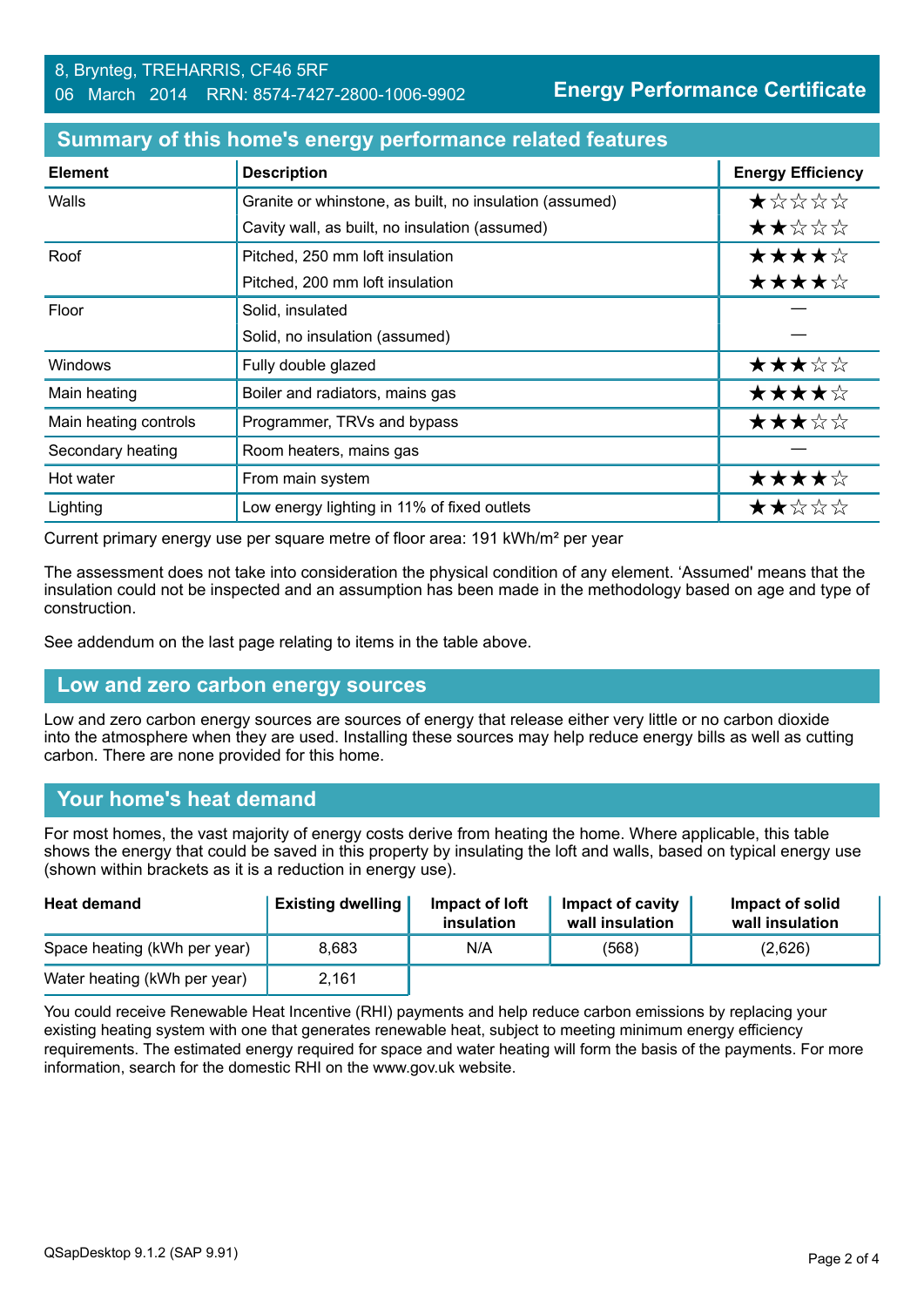| <b>Element</b>        | <b>Description</b>                                      | <b>Energy Efficiency</b> |
|-----------------------|---------------------------------------------------------|--------------------------|
| Walls                 | Granite or whinstone, as built, no insulation (assumed) | *****                    |
|                       | Cavity wall, as built, no insulation (assumed)          | ★★☆☆☆                    |
| Roof                  | Pitched, 250 mm loft insulation                         | ★★★★☆                    |
|                       | Pitched, 200 mm loft insulation                         | ★★★★☆                    |
| Floor                 | Solid, insulated                                        |                          |
|                       | Solid, no insulation (assumed)                          |                          |
| Windows               | Fully double glazed                                     | ★★★☆☆                    |
| Main heating          | Boiler and radiators, mains gas                         | ★★★★☆                    |
| Main heating controls | Programmer, TRVs and bypass                             | ★★★☆☆                    |
| Secondary heating     | Room heaters, mains gas                                 |                          |
| Hot water             | From main system                                        | ★★★★☆                    |
| Lighting              | Low energy lighting in 11% of fixed outlets             | ★★☆☆☆                    |

#### **Summary of this home's energy performance related features**

Current primary energy use per square metre of floor area: 191 kWh/m² per year

The assessment does not take into consideration the physical condition of any element. 'Assumed' means that the insulation could not be inspected and an assumption has been made in the methodology based on age and type of construction.

See addendum on the last page relating to items in the table above.

#### **Low and zero carbon energy sources**

Low and zero carbon energy sources are sources of energy that release either very little or no carbon dioxide into the atmosphere when they are used. Installing these sources may help reduce energy bills as well as cutting carbon. There are none provided for this home.

#### **Your home's heat demand**

For most homes, the vast majority of energy costs derive from heating the home. Where applicable, this table shows the energy that could be saved in this property by insulating the loft and walls, based on typical energy use (shown within brackets as it is a reduction in energy use).

| <b>Heat demand</b>           | <b>Existing dwelling</b> | Impact of loft<br>insulation | Impact of cavity<br>wall insulation | Impact of solid<br>wall insulation |
|------------------------------|--------------------------|------------------------------|-------------------------------------|------------------------------------|
| Space heating (kWh per year) | 8.683                    | N/A                          | (568)                               | (2,626)                            |
| Water heating (kWh per year) | 2,161                    |                              |                                     |                                    |

You could receive Renewable Heat Incentive (RHI) payments and help reduce carbon emissions by replacing your existing heating system with one that generates renewable heat, subject to meeting minimum energy efficiency requirements. The estimated energy required for space and water heating will form the basis of the payments. For more information, search for the domestic RHI on the www.gov.uk website.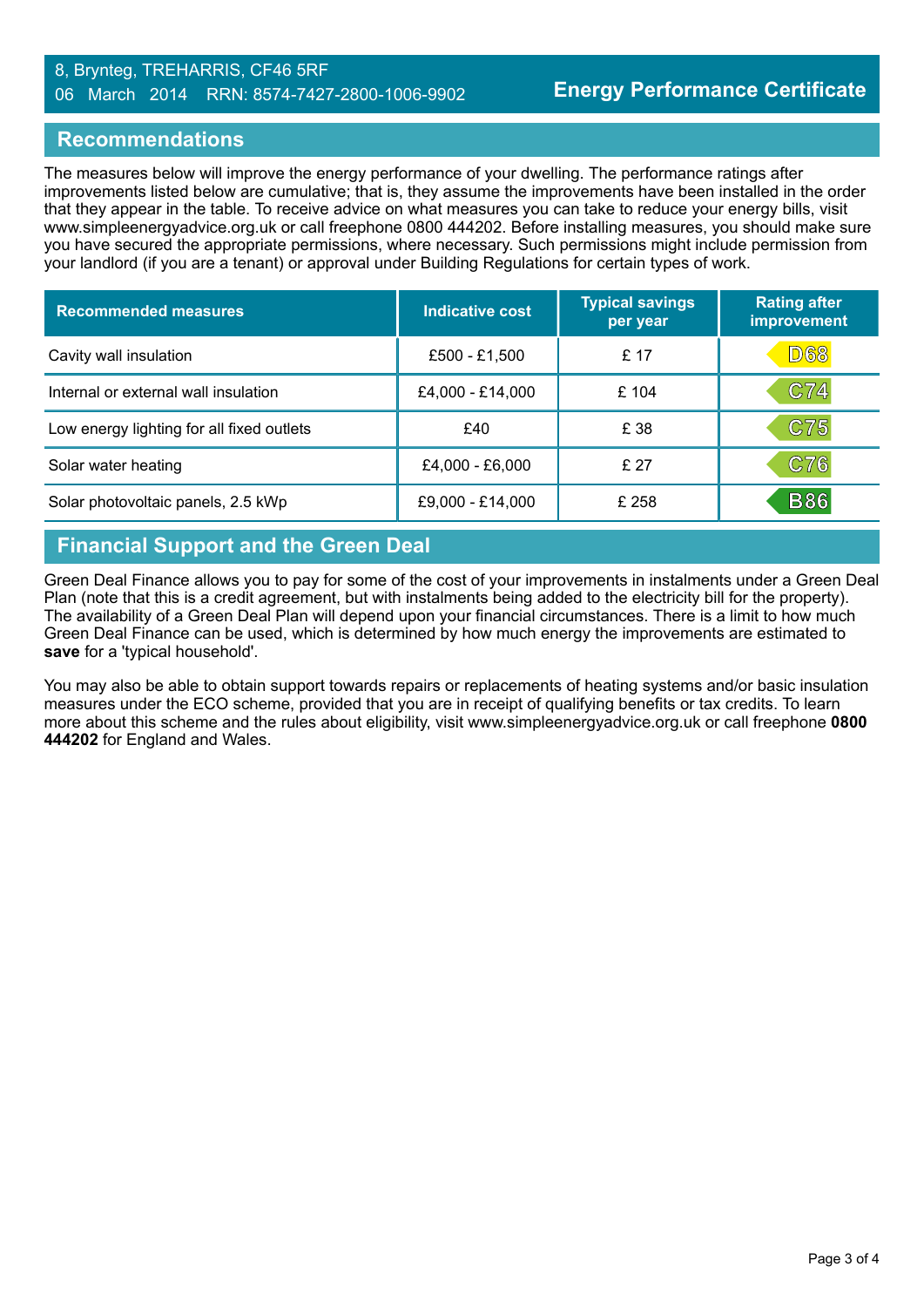#### 8, Brynteg, TREHARRIS, CF46 5RF 06 March 2014 RRN: 8574-7427-2800-1006-9902

#### **Recommendations**

The measures below will improve the energy performance of your dwelling. The performance ratings after improvements listed below are cumulative; that is, they assume the improvements have been installed in the order that they appear in the table. To receive advice on what measures you can take to reduce your energy bills, visit www.simpleenergyadvice.org.uk or call freephone 0800 444202. Before installing measures, you should make sure you have secured the appropriate permissions, where necessary. Such permissions might include permission from your landlord (if you are a tenant) or approval under Building Regulations for certain types of work.

| <b>Recommended measures</b>               | <b>Indicative cost</b> | <b>Typical savings</b><br>per year | <b>Rating after</b><br>improvement |
|-------------------------------------------|------------------------|------------------------------------|------------------------------------|
| Cavity wall insulation                    | £500 - £1,500          | £ 17                               | <b>D68</b>                         |
| Internal or external wall insulation      | £4,000 - £14,000       | £ 104                              | C74                                |
| Low energy lighting for all fixed outlets | £40                    | £ 38                               | C75                                |
| Solar water heating                       | £4,000 - £6,000        | £27                                | C76                                |
| Solar photovoltaic panels, 2.5 kWp        | £9,000 - £14,000       | £ 258                              | <b>B86</b>                         |

### **Financial Support and the Green Deal**

Green Deal Finance allows you to pay for some of the cost of your improvements in instalments under a Green Deal Plan (note that this is a credit agreement, but with instalments being added to the electricity bill for the property). The availability of a Green Deal Plan will depend upon your financial circumstances. There is a limit to how much Green Deal Finance can be used, which is determined by how much energy the improvements are estimated to **save** for a 'typical household'.

You may also be able to obtain support towards repairs or replacements of heating systems and/or basic insulation measures under the ECO scheme, provided that you are in receipt of qualifying benefits or tax credits. To learn more about this scheme and the rules about eligibility, visit www.simpleenergyadvice.org.uk or call freephone **0800 444202** for England and Wales.